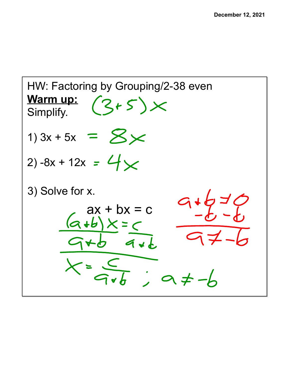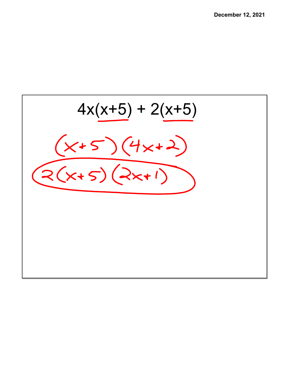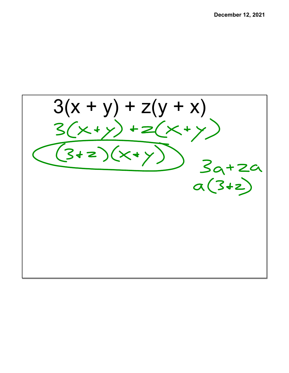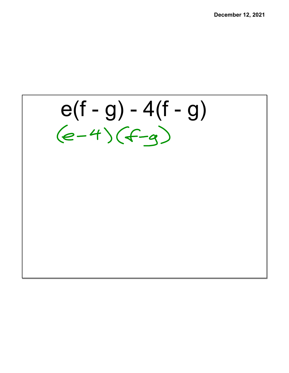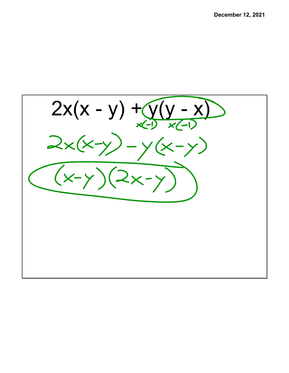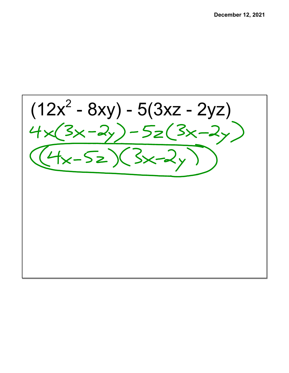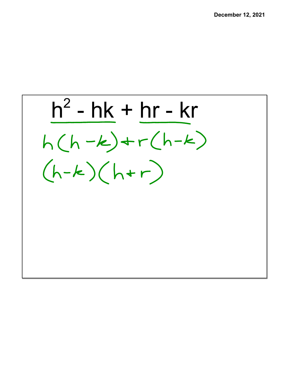$h^2$  - hk + hr - kr  $h(h-k)+r(h-k)$  $(h-k)(hr)$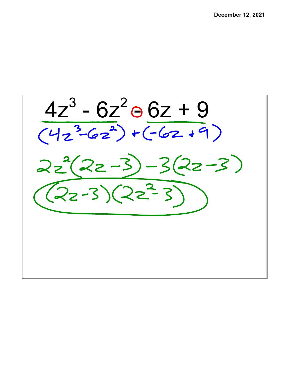$\frac{4z^3 - 6z^2 \ominus 6z + 9}{(4z^3 - 6z^2) + (-6z + 9)}$  $2z^2(2z-3)-3(2z-3)$  $(22-3)(22^2-3)$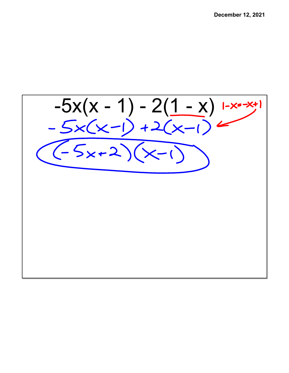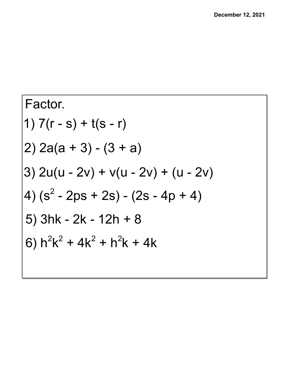Factor.  
\n1) 
$$
7(r - s) + t(s - r)
$$
  
\n2)  $2a(a + 3) - (3 + a)$   
\n3)  $2u(u - 2v) + v(u - 2v) + (u - 2v)$   
\n4)  $(s^2 - 2ps + 2s) - (2s - 4p + 4)$   
\n5)  $3hk - 2k - 12h + 8$   
\n6)  $h^2k^2 + 4k^2 + h^2k + 4k$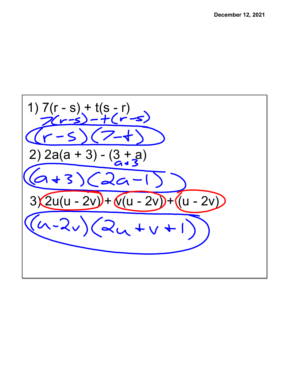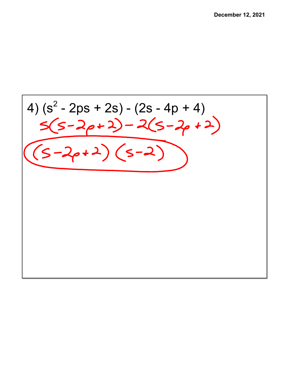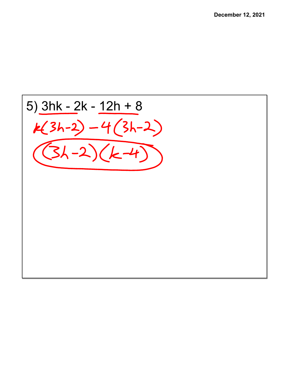